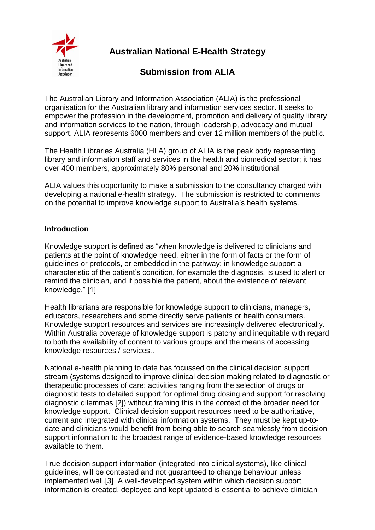

**Australian National E-Health Strategy**

# **Submission from ALIA**

The Australian Library and Information Association (ALIA) is the professional organisation for the Australian library and information services sector. It seeks to empower the profession in the development, promotion and delivery of quality library and information services to the nation, through leadership, advocacy and mutual support. ALIA represents 6000 members and over 12 million members of the public.

The Health Libraries Australia (HLA) group of ALIA is the peak body representing library and information staff and services in the health and biomedical sector; it has over 400 members, approximately 80% personal and 20% institutional.

ALIA values this opportunity to make a submission to the consultancy charged with developing a national e-health strategy. The submission is restricted to comments on the potential to improve knowledge support to Australia"s health systems.

# **Introduction**

Knowledge support is defined as "when knowledge is delivered to clinicians and patients at the point of knowledge need, either in the form of facts or the form of guidelines or protocols, or embedded in the pathway; in knowledge support a characteristic of the patient"s condition, for example the diagnosis, is used to alert or remind the clinician, and if possible the patient, about the existence of relevant knowledge." [1]

Health librarians are responsible for knowledge support to clinicians, managers, educators, researchers and some directly serve patients or health consumers. Knowledge support resources and services are increasingly delivered electronically. Within Australia coverage of knowledge support is patchy and inequitable with regard to both the availability of content to various groups and the means of accessing knowledge resources / services..

National e-health planning to date has focussed on the clinical decision support stream (systems designed to improve clinical decision making related to diagnostic or therapeutic processes of care; activities ranging from the selection of drugs or diagnostic tests to detailed support for optimal drug dosing and support for resolving diagnostic dilemmas [2]) without framing this in the context of the broader need for knowledge support. Clinical decision support resources need to be authoritative, current and integrated with clinical information systems. They must be kept up-todate and clinicians would benefit from being able to search seamlessly from decision support information to the broadest range of evidence-based knowledge resources available to them.

True decision support information (integrated into clinical systems), like clinical guidelines, will be contested and not guaranteed to change behaviour unless implemented well.[3] A well-developed system within which decision support information is created, deployed and kept updated is essential to achieve clinician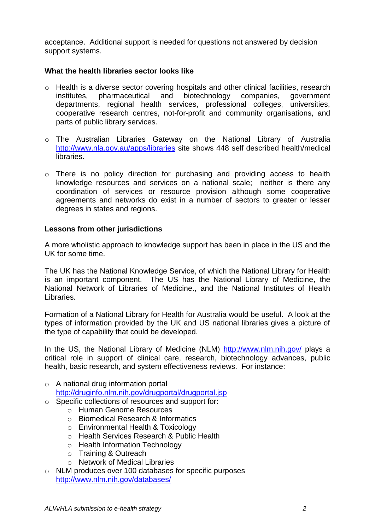acceptance. Additional support is needed for questions not answered by decision support systems.

#### **What the health libraries sector looks like**

- o Health is a diverse sector covering hospitals and other clinical facilities, research institutes, pharmaceutical and biotechnology companies, government departments, regional health services, professional colleges, universities, cooperative research centres, not-for-profit and community organisations, and parts of public library services.
- o The Australian Libraries Gateway on the National Library of Australia <http://www.nla.gov.au/apps/libraries> site shows 448 self described health/medical libraries.
- o There is no policy direction for purchasing and providing access to health knowledge resources and services on a national scale; neither is there any coordination of services or resource provision although some cooperative agreements and networks do exist in a number of sectors to greater or lesser degrees in states and regions.

## **Lessons from other jurisdictions**

A more wholistic approach to knowledge support has been in place in the US and the UK for some time.

The UK has the National Knowledge Service, of which the National Library for Health is an important component. The US has the National Library of Medicine, the National Network of Libraries of Medicine., and the National Institutes of Health Libraries.

Formation of a National Library for Health for Australia would be useful. A look at the types of information provided by the UK and US national libraries gives a picture of the type of capability that could be developed.

In the US, the National Library of Medicine (NLM) <http://www.nlm.nih.gov/> plays a critical role in support of clinical care, research, biotechnology advances, public health, basic research, and system effectiveness reviews. For instance:

- o A national drug information portal <http://druginfo.nlm.nih.gov/drugportal/drugportal.jsp>
- o Specific collections of resources and support for:
	- o Human Genome Resources
	- o Biomedical Research & Informatics
	- o Environmental Health & Toxicology
	- o Health Services Research & Public Health
	- o Health Information Technology
	- o Training & Outreach
	- o Network of Medical Libraries
- o NLM produces over 100 databases for specific purposes <http://www.nlm.nih.gov/databases/>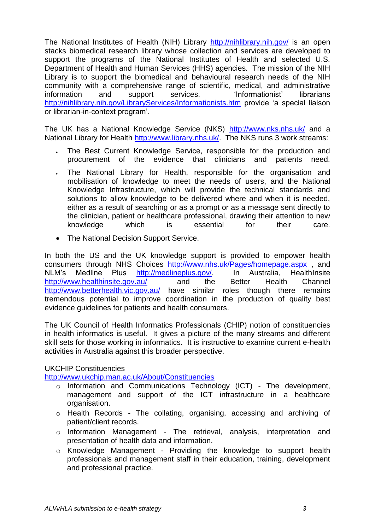The National Institutes of Health (NIH) Library <http://nihlibrary.nih.gov/> is an open stacks biomedical research library whose collection and services are developed to support the programs of the National Institutes of Health and selected U.S. Department of Health and Human Services (HHS) agencies. The mission of the NIH Library is to support the biomedical and behavioural research needs of the NIH community with a comprehensive range of scientific, medical, and administrative information and support services. Informationist' librarians <http://nihlibrary.nih.gov/LibraryServices/Informationists.htm> provide 'a special liaison or librarian-in-context program".

The UK has a National Knowledge Service (NKS) <http://www.nks.nhs.uk/> and a National Library for Health [http://www.library.nhs.uk/.](http://www.library.nhs.uk/) The NKS runs 3 work streams:

- The Best Current Knowledge Service, responsible for the production and procurement of the evidence that clinicians and patients need.
- The National Library for Health, responsible for the organisation and mobilisation of knowledge to meet the needs of users, and the National Knowledge Infrastructure, which will provide the technical standards and solutions to allow knowledge to be delivered where and when it is needed, either as a result of searching or as a prompt or as a message sent directly to the clinician, patient or healthcare professional, drawing their attention to new knowledge which is essential for their care.
- The National Decision Support Service.

In both the US and the UK knowledge support is provided to empower health consumers through NHS Choices <http://www.nhs.uk/Pages/homepage.aspx> , and NLM"s Medline Plus [http://medlineplus.gov/.](http://medlineplus.gov/) In Australia, HealthInsite <http://www.healthinsite.gov.au/> and the Better Health Channel <http://www.betterhealth.vic.gov.au/> have similar roles though there remains tremendous potential to improve coordination in the production of quality best evidence guidelines for patients and health consumers.

The UK Council of Health Informatics Professionals (CHIP) notion of constituencies in health informatics is useful. It gives a picture of the many streams and different skill sets for those working in informatics. It is instructive to examine current e-health activities in Australia against this broader perspective.

#### UKCHIP Constituencies

<http://www.ukchip.man.ac.uk/About/Constituencies>

- o Information and Communications Technology (ICT) The development, management and support of the ICT infrastructure in a healthcare organisation.
- o Health Records The collating, organising, accessing and archiving of patient/client records.
- o Information Management The retrieval, analysis, interpretation and presentation of health data and information.
- o Knowledge Management Providing the knowledge to support health professionals and management staff in their education, training, development and professional practice.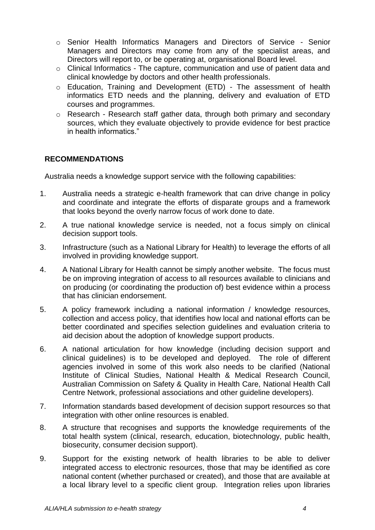- o Senior Health Informatics Managers and Directors of Service Senior Managers and Directors may come from any of the specialist areas, and Directors will report to, or be operating at, organisational Board level.
- o Clinical Informatics The capture, communication and use of patient data and clinical knowledge by doctors and other health professionals.
- o Education, Training and Development (ETD) The assessment of health informatics ETD needs and the planning, delivery and evaluation of ETD courses and programmes.
- o Research Research staff gather data, through both primary and secondary sources, which they evaluate objectively to provide evidence for best practice in health informatics."

# **RECOMMENDATIONS**

Australia needs a knowledge support service with the following capabilities:

- 1. Australia needs a strategic e-health framework that can drive change in policy and coordinate and integrate the efforts of disparate groups and a framework that looks beyond the overly narrow focus of work done to date.
- 2. A true national knowledge service is needed, not a focus simply on clinical decision support tools.
- 3. Infrastructure (such as a National Library for Health) to leverage the efforts of all involved in providing knowledge support.
- 4. A National Library for Health cannot be simply another website. The focus must be on improving integration of access to all resources available to clinicians and on producing (or coordinating the production of) best evidence within a process that has clinician endorsement.
- 5. A policy framework including a national information / knowledge resources, collection and access policy, that identifies how local and national efforts can be better coordinated and specifies selection guidelines and evaluation criteria to aid decision about the adoption of knowledge support products.
- 6. A national articulation for how knowledge (including decision support and clinical guidelines) is to be developed and deployed. The role of different agencies involved in some of this work also needs to be clarified (National Institute of Clinical Studies, National Health & Medical Research Council, Australian Commission on Safety & Quality in Health Care, National Health Call Centre Network, professional associations and other guideline developers).
- 7. Information standards based development of decision support resources so that integration with other online resources is enabled.
- 8. A structure that recognises and supports the knowledge requirements of the total health system (clinical, research, education, biotechnology, public health, biosecurity, consumer decision support).
- 9. Support for the existing network of health libraries to be able to deliver integrated access to electronic resources, those that may be identified as core national content (whether purchased or created), and those that are available at a local library level to a specific client group. Integration relies upon libraries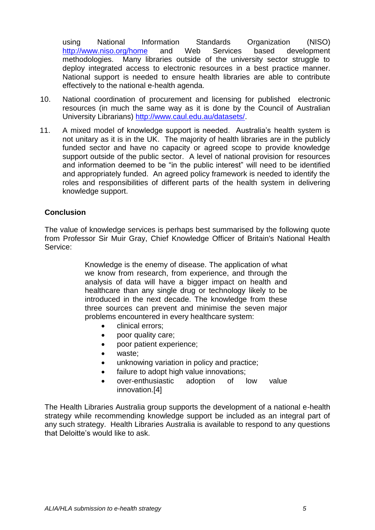using National Information Standards Organization (NISO) <http://www.niso.org/home> and Web Services based development methodologies. Many libraries outside of the university sector struggle to deploy integrated access to electronic resources in a best practice manner. National support is needed to ensure health libraries are able to contribute effectively to the national e-health agenda.

- 10. National coordination of procurement and licensing for published electronic resources (in much the same way as it is done by the Council of Australian University Librarians) [http://www.caul.edu.au/datasets/.](http://www.caul.edu.au/datasets/)
- 11. A mixed model of knowledge support is needed. Australia"s health system is not unitary as it is in the UK. The majority of health libraries are in the publicly funded sector and have no capacity or agreed scope to provide knowledge support outside of the public sector. A level of national provision for resources and information deemed to be "in the public interest" will need to be identified and appropriately funded. An agreed policy framework is needed to identify the roles and responsibilities of different parts of the health system in delivering knowledge support.

#### **Conclusion**

The value of knowledge services is perhaps best summarised by the following quote from Professor Sir Muir Gray, Chief Knowledge Officer of Britain's National Health Service:

> Knowledge is the enemy of disease. The application of what we know from research, from experience, and through the analysis of data will have a bigger impact on health and healthcare than any single drug or technology likely to be introduced in the next decade. The knowledge from these three sources can prevent and minimise the seven major problems encountered in every healthcare system:

- clinical errors;
- poor quality care;
- poor patient experience;
- waste;
- unknowing variation in policy and practice;
- failure to adopt high value innovations;
- over-enthusiastic adoption of low value innovation.[4]

The Health Libraries Australia group supports the development of a national e-health strategy while recommending knowledge support be included as an integral part of any such strategy. Health Libraries Australia is available to respond to any questions that Deloitte"s would like to ask.